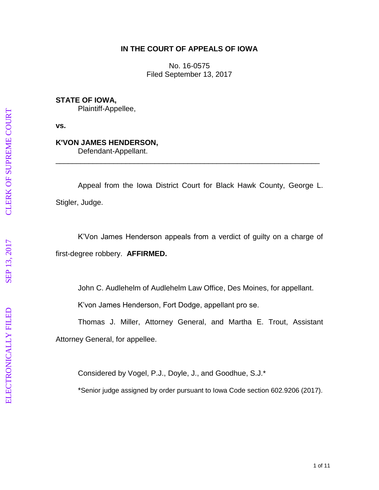### **IN THE COURT OF APPEALS OF IOWA**

No. 16 -0575 Filed September 13, 2017

**STATE OF IOWA,** Plaintiff -Appellee,

**vs.**

# **K'VON JAMES HENDERSON ,**

Defendant -Appellant. \_\_\_\_\_\_\_\_\_\_\_\_\_\_\_\_\_\_\_\_\_\_\_\_\_\_\_\_\_\_\_\_\_\_\_\_\_\_\_\_\_\_\_\_\_\_\_\_\_\_\_\_\_\_\_\_\_\_\_\_\_\_\_\_

Appeal from the Iowa District Court for Black Hawk County, George L. Stigler, Judge.

K'Von James Henderson appeals from a verdict of guilty on a charge of first -degree robbery. **AFFIRMED .**

John C. Audlehelm of Audlehelm Law Office, Des Moines, for appellant.

K'von James Henderson, Fort Dodge, appellant pro se.

Thomas J. Miller, Attorney General, and Martha E. Trout, Assistant Attorney General, for appellee.

Considered by Vogel, P.J., Doyle, J., and Goodhue, S.J.\*

\*Senior judge assigned by order pursuant to Iowa Code section 602.9206 (2017).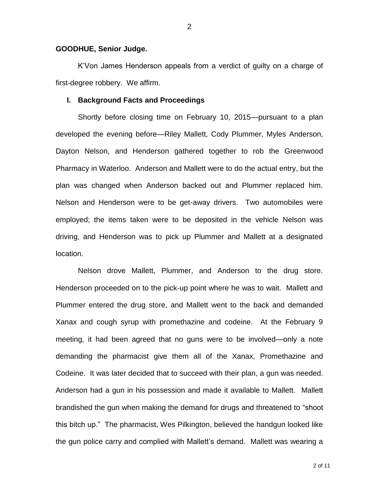#### **GOODHUE, Senior Judge.**

K'Von James Henderson appeals from a verdict of guilty on a charge of first-degree robbery. We affirm.

#### **I. Background Facts and Proceedings**

Shortly before closing time on February 10, 2015—pursuant to a plan developed the evening before—Riley Mallett, Cody Plummer, Myles Anderson, Dayton Nelson, and Henderson gathered together to rob the Greenwood Pharmacy in Waterloo. Anderson and Mallett were to do the actual entry, but the plan was changed when Anderson backed out and Plummer replaced him. Nelson and Henderson were to be get-away drivers. Two automobiles were employed; the items taken were to be deposited in the vehicle Nelson was driving, and Henderson was to pick up Plummer and Mallett at a designated location.

Nelson drove Mallett, Plummer, and Anderson to the drug store. Henderson proceeded on to the pick-up point where he was to wait. Mallett and Plummer entered the drug store, and Mallett went to the back and demanded Xanax and cough syrup with promethazine and codeine. At the February 9 meeting, it had been agreed that no guns were to be involved—only a note demanding the pharmacist give them all of the Xanax, Promethazine and Codeine. It was later decided that to succeed with their plan, a gun was needed. Anderson had a gun in his possession and made it available to Mallett. Mallett brandished the gun when making the demand for drugs and threatened to "shoot this bitch up." The pharmacist, Wes Pilkington, believed the handgun looked like the gun police carry and complied with Mallett's demand. Mallett was wearing a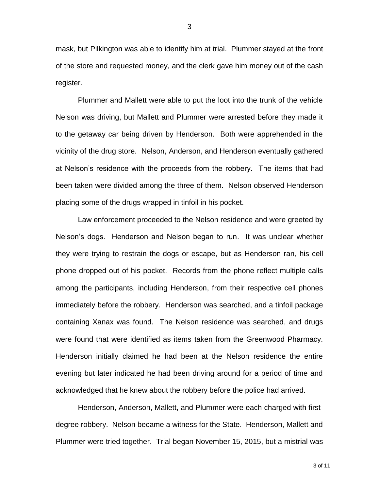mask, but Pilkington was able to identify him at trial. Plummer stayed at the front of the store and requested money, and the clerk gave him money out of the cash register.

Plummer and Mallett were able to put the loot into the trunk of the vehicle Nelson was driving, but Mallett and Plummer were arrested before they made it to the getaway car being driven by Henderson. Both were apprehended in the vicinity of the drug store. Nelson, Anderson, and Henderson eventually gathered at Nelson's residence with the proceeds from the robbery. The items that had been taken were divided among the three of them. Nelson observed Henderson placing some of the drugs wrapped in tinfoil in his pocket.

Law enforcement proceeded to the Nelson residence and were greeted by Nelson's dogs. Henderson and Nelson began to run. It was unclear whether they were trying to restrain the dogs or escape, but as Henderson ran, his cell phone dropped out of his pocket. Records from the phone reflect multiple calls among the participants, including Henderson, from their respective cell phones immediately before the robbery. Henderson was searched, and a tinfoil package containing Xanax was found. The Nelson residence was searched, and drugs were found that were identified as items taken from the Greenwood Pharmacy. Henderson initially claimed he had been at the Nelson residence the entire evening but later indicated he had been driving around for a period of time and acknowledged that he knew about the robbery before the police had arrived.

Henderson, Anderson, Mallett, and Plummer were each charged with firstdegree robbery. Nelson became a witness for the State. Henderson, Mallett and Plummer were tried together. Trial began November 15, 2015, but a mistrial was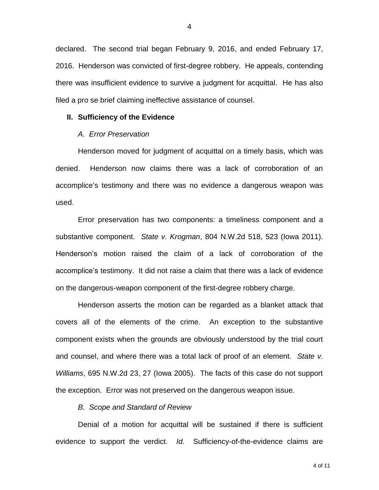declared. The second trial began February 9, 2016, and ended February 17, 2016. Henderson was convicted of first-degree robbery. He appeals, contending there was insufficient evidence to survive a judgment for acquittal. He has also filed a pro se brief claiming ineffective assistance of counsel.

#### **II. Sufficiency of the Evidence**

#### *A. Error Preservation*

Henderson moved for judgment of acquittal on a timely basis, which was denied. Henderson now claims there was a lack of corroboration of an accomplice's testimony and there was no evidence a dangerous weapon was used.

Error preservation has two components: a timeliness component and a substantive component. *State v. Krogman*, 804 N.W.2d 518, 523 (Iowa 2011). Henderson's motion raised the claim of a lack of corroboration of the accomplice's testimony. It did not raise a claim that there was a lack of evidence on the dangerous-weapon component of the first-degree robbery charge.

Henderson asserts the motion can be regarded as a blanket attack that covers all of the elements of the crime. An exception to the substantive component exists when the grounds are obviously understood by the trial court and counsel, and where there was a total lack of proof of an element. *State v. Williams*, 695 N.W.2d 23, 27 (Iowa 2005). The facts of this case do not support the exception. Error was not preserved on the dangerous weapon issue.

#### *B. Scope and Standard of Review*

Denial of a motion for acquittal will be sustained if there is sufficient evidence to support the verdict. *Id.* Sufficiency-of-the-evidence claims are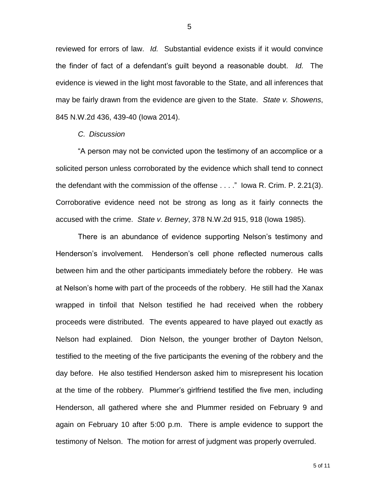reviewed for errors of law. *Id.* Substantial evidence exists if it would convince the finder of fact of a defendant's guilt beyond a reasonable doubt. *Id.* The evidence is viewed in the light most favorable to the State, and all inferences that may be fairly drawn from the evidence are given to the State. *State v. Showens*, 845 N.W.2d 436, 439-40 (Iowa 2014).

#### *C. Discussion*

"A person may not be convicted upon the testimony of an accomplice or a solicited person unless corroborated by the evidence which shall tend to connect the defendant with the commission of the offense . . . ." Iowa R. Crim. P. 2.21(3). Corroborative evidence need not be strong as long as it fairly connects the accused with the crime. *State v. Berney*, 378 N.W.2d 915, 918 (Iowa 1985).

There is an abundance of evidence supporting Nelson's testimony and Henderson's involvement. Henderson's cell phone reflected numerous calls between him and the other participants immediately before the robbery. He was at Nelson's home with part of the proceeds of the robbery. He still had the Xanax wrapped in tinfoil that Nelson testified he had received when the robbery proceeds were distributed. The events appeared to have played out exactly as Nelson had explained. Dion Nelson, the younger brother of Dayton Nelson, testified to the meeting of the five participants the evening of the robbery and the day before. He also testified Henderson asked him to misrepresent his location at the time of the robbery. Plummer's girlfriend testified the five men, including Henderson, all gathered where she and Plummer resided on February 9 and again on February 10 after 5:00 p.m. There is ample evidence to support the testimony of Nelson. The motion for arrest of judgment was properly overruled.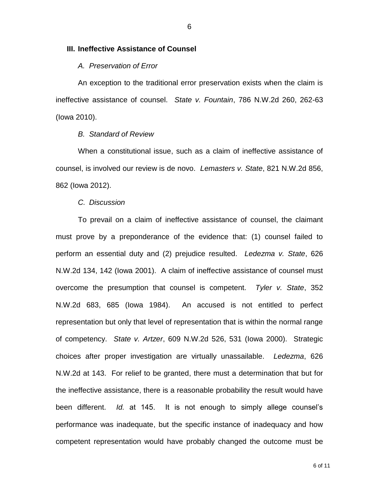#### **III. Ineffective Assistance of Counsel**

*A. Preservation of Error*

An exception to the traditional error preservation exists when the claim is ineffective assistance of counsel. *State v. Fountain*, 786 N.W.2d 260, 262-63 (Iowa 2010).

#### *B. Standard of Review*

When a constitutional issue, such as a claim of ineffective assistance of counsel, is involved our review is de novo. *Lemasters v. State*, 821 N.W.2d 856, 862 (Iowa 2012).

#### *C. Discussion*

To prevail on a claim of ineffective assistance of counsel, the claimant must prove by a preponderance of the evidence that: (1) counsel failed to perform an essential duty and (2) prejudice resulted. *Ledezma v. State*, 626 N.W.2d 134, 142 (Iowa 2001). A claim of ineffective assistance of counsel must overcome the presumption that counsel is competent. *Tyler v. State*, 352 N.W.2d 683, 685 (Iowa 1984). An accused is not entitled to perfect representation but only that level of representation that is within the normal range of competency. *State v. Artzer*, 609 N.W.2d 526, 531 (Iowa 2000). Strategic choices after proper investigation are virtually unassailable. *Ledezma*, 626 N.W.2d at 143. For relief to be granted, there must a determination that but for the ineffective assistance, there is a reasonable probability the result would have been different. *Id.* at 145. It is not enough to simply allege counsel's performance was inadequate, but the specific instance of inadequacy and how competent representation would have probably changed the outcome must be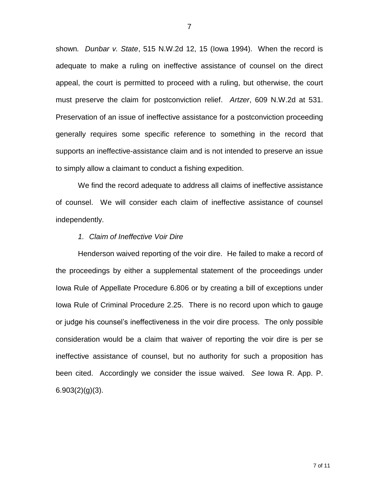shown*. Dunbar v. State*, 515 N.W.2d 12, 15 (Iowa 1994). When the record is adequate to make a ruling on ineffective assistance of counsel on the direct appeal, the court is permitted to proceed with a ruling, but otherwise, the court must preserve the claim for postconviction relief. *Artzer*, 609 N.W.2d at 531. Preservation of an issue of ineffective assistance for a postconviction proceeding generally requires some specific reference to something in the record that supports an ineffective-assistance claim and is not intended to preserve an issue to simply allow a claimant to conduct a fishing expedition.

We find the record adequate to address all claims of ineffective assistance of counsel. We will consider each claim of ineffective assistance of counsel independently.

#### *1. Claim of Ineffective Voir Dire*

Henderson waived reporting of the voir dire. He failed to make a record of the proceedings by either a supplemental statement of the proceedings under Iowa Rule of Appellate Procedure 6.806 or by creating a bill of exceptions under Iowa Rule of Criminal Procedure 2.25. There is no record upon which to gauge or judge his counsel's ineffectiveness in the voir dire process. The only possible consideration would be a claim that waiver of reporting the voir dire is per se ineffective assistance of counsel, but no authority for such a proposition has been cited. Accordingly we consider the issue waived. *See* Iowa R. App. P.  $6.903(2)(g)(3)$ .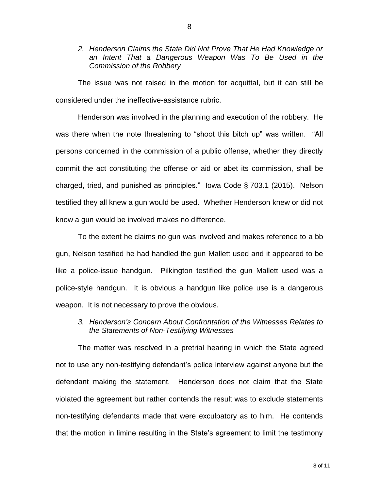### *2. Henderson Claims the State Did Not Prove That He Had Knowledge or an Intent That a Dangerous Weapon Was To Be Used in the Commission of the Robbery*

The issue was not raised in the motion for acquittal, but it can still be considered under the ineffective-assistance rubric.

Henderson was involved in the planning and execution of the robbery. He was there when the note threatening to "shoot this bitch up" was written. "All persons concerned in the commission of a public offense, whether they directly commit the act constituting the offense or aid or abet its commission, shall be charged, tried, and punished as principles." Iowa Code § 703.1 (2015). Nelson testified they all knew a gun would be used. Whether Henderson knew or did not know a gun would be involved makes no difference.

To the extent he claims no gun was involved and makes reference to a bb gun, Nelson testified he had handled the gun Mallett used and it appeared to be like a police-issue handgun. Pilkington testified the gun Mallett used was a police-style handgun. It is obvious a handgun like police use is a dangerous weapon. It is not necessary to prove the obvious.

### *3. Henderson's Concern About Confrontation of the Witnesses Relates to the Statements of Non-Testifying Witnesses*

The matter was resolved in a pretrial hearing in which the State agreed not to use any non-testifying defendant's police interview against anyone but the defendant making the statement. Henderson does not claim that the State violated the agreement but rather contends the result was to exclude statements non-testifying defendants made that were exculpatory as to him. He contends that the motion in limine resulting in the State's agreement to limit the testimony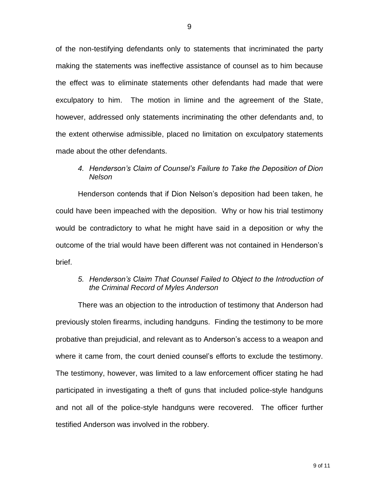of the non-testifying defendants only to statements that incriminated the party making the statements was ineffective assistance of counsel as to him because the effect was to eliminate statements other defendants had made that were exculpatory to him. The motion in limine and the agreement of the State, however, addressed only statements incriminating the other defendants and, to the extent otherwise admissible, placed no limitation on exculpatory statements made about the other defendants.

# *4. Henderson's Claim of Counsel's Failure to Take the Deposition of Dion Nelson*

Henderson contends that if Dion Nelson's deposition had been taken, he could have been impeached with the deposition. Why or how his trial testimony would be contradictory to what he might have said in a deposition or why the outcome of the trial would have been different was not contained in Henderson's brief.

# *5. Henderson's Claim That Counsel Failed to Object to the Introduction of the Criminal Record of Myles Anderson*

There was an objection to the introduction of testimony that Anderson had previously stolen firearms, including handguns. Finding the testimony to be more probative than prejudicial, and relevant as to Anderson's access to a weapon and where it came from, the court denied counsel's efforts to exclude the testimony. The testimony, however, was limited to a law enforcement officer stating he had participated in investigating a theft of guns that included police-style handguns and not all of the police-style handguns were recovered. The officer further testified Anderson was involved in the robbery.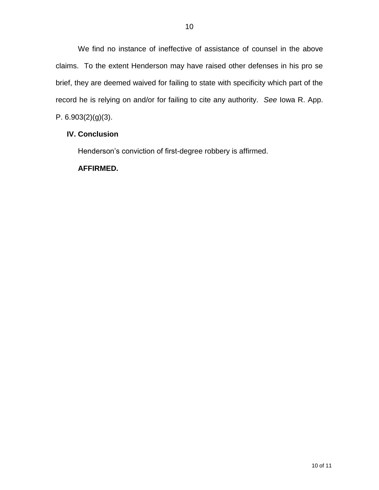We find no instance of ineffective of assistance of counsel in the above claims. To the extent Henderson may have raised other defenses in his pro se brief, they are deemed waived for failing to state with specificity which part of the record he is relying on and/or for failing to cite any authority. *See* Iowa R. App. P. 6.903(2)(g)(3).

# **IV. Conclusion**

Henderson's conviction of first-degree robbery is affirmed.

# **AFFIRMED.**